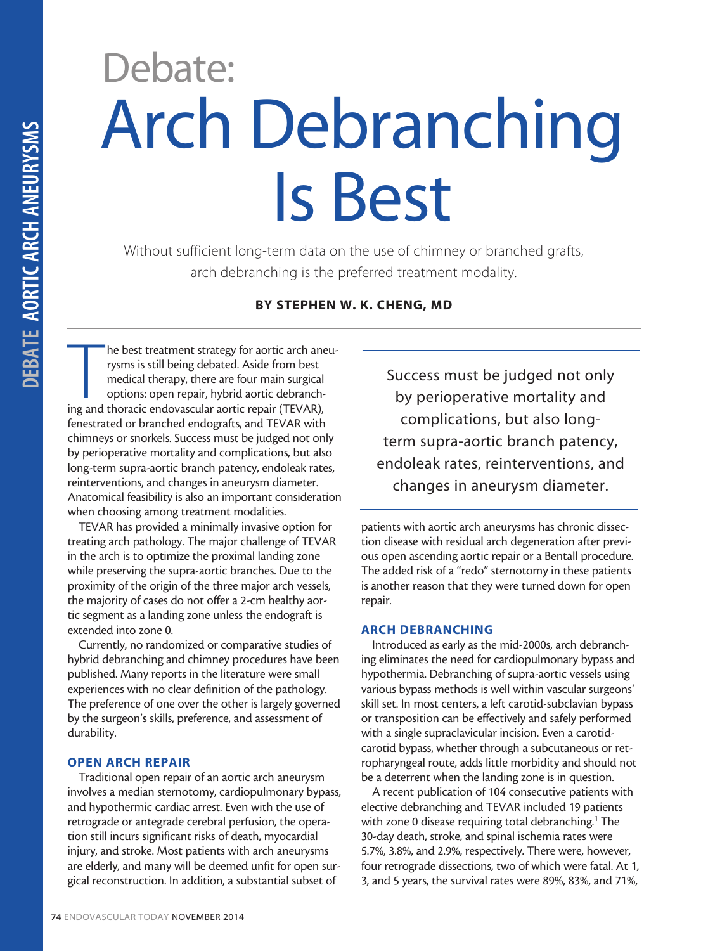# Arch Debranching Is Best Debate:

Without sufficient long-term data on the use of chimney or branched grafts, arch debranching is the preferred treatment modality.

BY STEPHEN W. K. CHENG, MD

The best treatment strategy for aortic arch and<br>rysms is still being debated. Aside from best<br>medical therapy, there are four main surgical<br>options: open repair, hybrid aortic debranch-<br>ing and thoracic endovascular aortic he best treatment strategy for aortic arch aneurysms is still being debated. Aside from best medical therapy, there are four main surgical options: open repair, hybrid aortic debranchfenestrated or branched endografts, and TEVAR with chimneys or snorkels. Success must be judged not only by perioperative mortality and complications, but also long-term supra-aortic branch patency, endoleak rates, reinterventions, and changes in aneurysm diameter. Anatomical feasibility is also an important consideration when choosing among treatment modalities.

TEVAR has provided a minimally invasive option for treating arch pathology. The major challenge of TEVAR in the arch is to optimize the proximal landing zone while preserving the supra-aortic branches. Due to the proximity of the origin of the three major arch vessels, the majority of cases do not offer a 2-cm healthy aortic segment as a landing zone unless the endograft is extended into zone 0.

Currently, no randomized or comparative studies of hybrid debranching and chimney procedures have been published. Many reports in the literature were small experiences with no clear definition of the pathology. The preference of one over the other is largely governed by the surgeon's skills, preference, and assessment of durability.

### OPEN ARCH REPAIR

Traditional open repair of an aortic arch aneurysm involves a median sternotomy, cardiopulmonary bypass, and hypothermic cardiac arrest. Even with the use of retrograde or antegrade cerebral perfusion, the operation still incurs significant risks of death, myocardial injury, and stroke. Most patients with arch aneurysms are elderly, and many will be deemed unfit for open surgical reconstruction. In addition, a substantial subset of

Success must be judged not only by perioperative mortality and complications, but also longterm supra-aortic branch patency, endoleak rates, reinterventions, and changes in aneurysm diameter.

patients with aortic arch aneurysms has chronic dissection disease with residual arch degeneration after previous open ascending aortic repair or a Bentall procedure. The added risk of a "redo" sternotomy in these patients is another reason that they were turned down for open repair.

# ARCH DEBRANCHING

Introduced as early as the mid-2000s, arch debranching eliminates the need for cardiopulmonary bypass and hypothermia. Debranching of supra-aortic vessels using various bypass methods is well within vascular surgeons' skill set. In most centers, a left carotid-subclavian bypass or transposition can be effectively and safely performed with a single supraclavicular incision. Even a carotidcarotid bypass, whether through a subcutaneous or retropharyngeal route, adds little morbidity and should not be a deterrent when the landing zone is in question.

A recent publication of 104 consecutive patients with elective debranching and TEVAR included 19 patients with zone 0 disease requiring total debranching.<sup>1</sup> The 30-day death, stroke, and spinal ischemia rates were 5.7%, 3.8%, and 2.9%, respectively. There were, however, four retrograde dissections, two of which were fatal. At 1, 3, and 5 years, the survival rates were 89%, 83%, and 71%,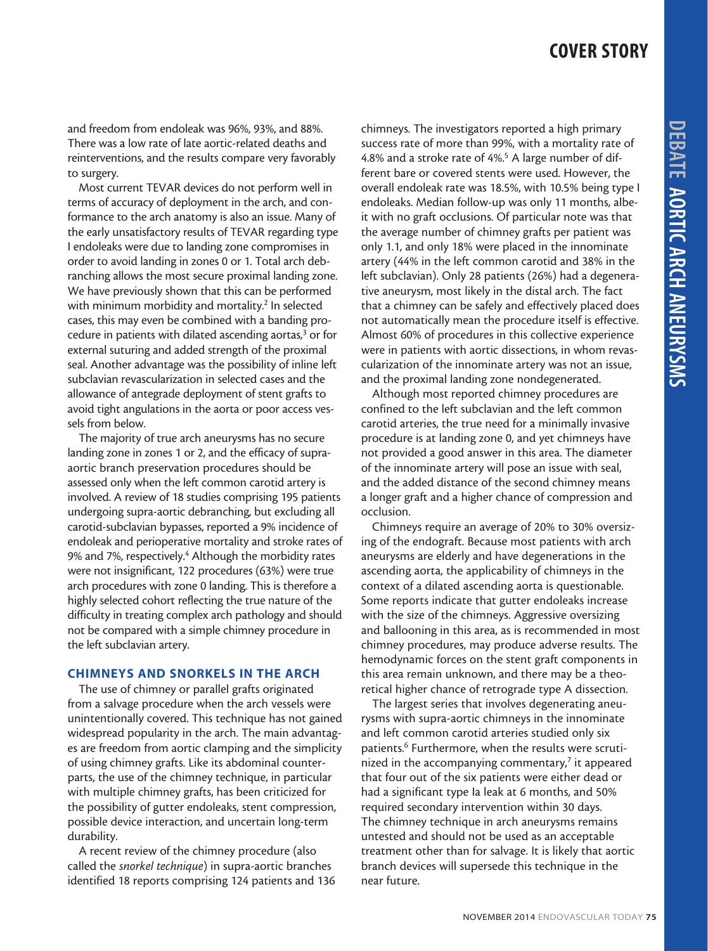and freedom from endoleak was 96%, 93%, and 88%. There was a low rate of late aortic-related deaths and reinterventions, and the results compare very favorably to surgery.

Most current TEVAR devices do not perform well in terms of accuracy of deployment in the arch, and conformance to the arch anatomy is also an issue. Many of the early unsatisfactory results of TEVAR regarding type I endoleaks were due to landing zone compromises in order to avoid landing in zones 0 or 1. Total arch debranching allows the most secure proximal landing zone. We have previously shown that this can be performed with minimum morbidity and mortality.<sup>2</sup> In selected cases, this may even be combined with a banding procedure in patients with dilated ascending aortas,<sup>3</sup> or for external suturing and added strength of the proximal seal. Another advantage was the possibility of inline left subclavian revascularization in selected cases and the allowance of antegrade deployment of stent grafts to avoid tight angulations in the aorta or poor access vessels from below.

The majority of true arch aneurysms has no secure landing zone in zones 1 or 2, and the efficacy of supraaortic branch preservation procedures should be assessed only when the left common carotid artery is involved. A review of 18 studies comprising 195 patients undergoing supra-aortic debranching, but excluding all carotid-subclavian bypasses, reported a 9% incidence of endoleak and perioperative mortality and stroke rates of 9% and 7%, respectively.<sup>4</sup> Although the morbidity rates were not insignificant, 122 procedures (63%) were true arch procedures with zone 0 landing. This is therefore a highly selected cohort reflecting the true nature of the difficulty in treating complex arch pathology and should not be compared with a simple chimney procedure in the left subclavian artery.

# CHIMNEYS AND SNORKELS IN THE ARCH

The use of chimney or parallel grafts originated from a salvage procedure when the arch vessels were unintentionally covered. This technique has not gained widespread popularity in the arch. The main advantages are freedom from aortic clamping and the simplicity of using chimney grafts. Like its abdominal counterparts, the use of the chimney technique, in particular with multiple chimney grafts, has been criticized for the possibility of gutter endoleaks, stent compression, possible device interaction, and uncertain long-term durability.

A recent review of the chimney procedure (also called the *snorkel technique*) in supra-aortic branches identified 18 reports comprising 124 patients and 136 chimneys. The investigators reported a high primary success rate of more than 99%, with a mortality rate of 4.8% and a stroke rate of 4%.<sup>5</sup> A large number of different bare or covered stents were used. However, the overall endoleak rate was 18.5%, with 10.5% being type I endoleaks. Median follow-up was only 11 months, albeit with no graft occlusions. Of particular note was that the average number of chimney grafts per patient was only 1.1, and only 18% were placed in the innominate artery (44% in the left common carotid and 38% in the left subclavian). Only 28 patients (26%) had a degenerative aneurysm, most likely in the distal arch. The fact that a chimney can be safely and effectively placed does not automatically mean the procedure itself is effective. Almost 60% of procedures in this collective experience were in patients with aortic dissections, in whom revascularization of the innominate artery was not an issue, and the proximal landing zone nondegenerated.

Although most reported chimney procedures are confined to the left subclavian and the left common carotid arteries, the true need for a minimally invasive procedure is at landing zone 0, and yet chimneys have not provided a good answer in this area. The diameter of the innominate artery will pose an issue with seal, and the added distance of the second chimney means a longer graft and a higher chance of compression and occlusion.

Chimneys require an average of 20% to 30% oversizing of the endograft. Because most patients with arch aneurysms are elderly and have degenerations in the ascending aorta, the applicability of chimneys in the context of a dilated ascending aorta is questionable. Some reports indicate that gutter endoleaks increase with the size of the chimneys. Aggressive oversizing and ballooning in this area, as is recommended in most chimney procedures, may produce adverse results. The hemodynamic forces on the stent graft components in this area remain unknown, and there may be a theoretical higher chance of retrograde type A dissection.

The largest series that involves degenerating aneurysms with supra-aortic chimneys in the innominate and left common carotid arteries studied only six patients.<sup>6</sup> Furthermore, when the results were scrutinized in the accompanying commentary,<sup>7</sup> it appeared that four out of the six patients were either dead or had a significant type Ia leak at 6 months, and 50% required secondary intervention within 30 days. The chimney technique in arch aneurysms remains untested and should not be used as an acceptable treatment other than for salvage. It is likely that aortic branch devices will supersede this technique in the near future.